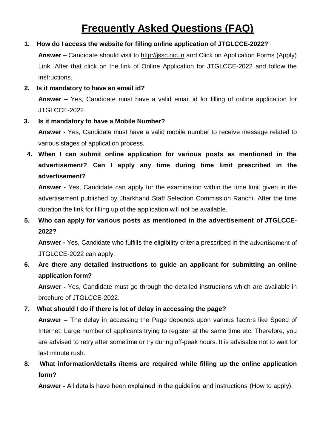# **Frequently Asked Questions (FAQ)**

#### **1. How do I access the website for filling online application of JTGLCCE-2022?**

**Answer –** Candidate should visit to [http://jssc.nic.in](http://jssc.nic.in/) and Click on Application Forms (Apply) Link. After that click on the link of Online Application for JTGLCCE-2022 and follow the instructions.

**2. Is it mandatory to have an email id?**

**Answer –** Yes, Candidate must have a valid email id for filling of online application for JTGLCCE-2022.

**3. Is it mandatory to have a Mobile Number?**

**Answer -** Yes, Candidate must have a valid mobile number to receive message related to various stages of application process.

**4. When I can submit online application for various posts as mentioned in the advertisement? Can I apply any time during time limit prescribed in the advertisement?**

**Answer -** Yes, Candidate can apply for the examination within the time limit given in the advertisement published by Jharkhand Staff Selection Commission Ranchi. After the time duration the link for filling up of the application will not be available.

**5. Who can apply for various posts as mentioned in the advertisement of JTGLCCE-2022?**

**Answer -** Yes, Candidate who fulfills the eligibility criteria prescribed in the advertisement of JTGLCCE-2022 can apply.

**6. Are there any detailed instructions to guide an applicant for submitting an online application form?**

**Answer -** Yes, Candidate must go through the detailed instructions which are available in brochure of JTGLCCE-2022.

#### **7. What should I do if there is lot of delay in accessing the page?**

**Answer –** The delay in accessing the Page depends upon various factors like Speed of Internet, Large number of applicants trying to register at the same time etc. Therefore, you are advised to retry after sometime or try during off-peak hours. It is advisable not to wait for last minute rush.

**8. What information/details /items are required while filling up the online application form?**

**Answer -** All details have been explained in the guideline and instructions (How to apply).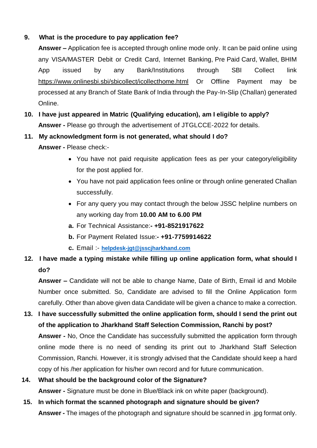#### **9. What is the procedure to pay application fee?**

**Answer –** Application fee is accepted through online mode only. It can be paid online using any VISA/MASTER Debit or Credit Card, Internet Banking, Pre Paid Card, Wallet, BHIM App issued by any Bank/Institutions through SBI Collect link <https://www.onlinesbi.sbi/sbicollect/icollecthome.html> Or Offline Payment may be processed at any Branch of State Bank of India through the Pay-In-Slip (Challan) generated Online.

**10. I have just appeared in Matric (Qualifying education), am I eligible to apply? Answer -** Please go through the advertisement of JTGLCCE-2022 for details.

#### **11. My acknowledgment form is not generated, what should I do?**

 **Answer -** Please check:-

- You have not paid requisite application fees as per your category/eligibility for the post applied for.
- You have not paid application fees online or through online generated Challan successfully.
- For any query you may contact through the below JSSC helpline numbers on any working day from **10.00 AM to 6.00 PM**
- **a.** For Technical Assistance:**- +91-8521917622**
- **b.** For Payment Related Issue:**- +91-7759914622**
- **c.** Email :- **[helpdesk-jgt@jsscjharkhand.com](mailto:helpdesk-jgt@jsscjharkhand.com)**

## **12. I have made a typing mistake while filling up online application form, what should I do?**

**Answer –** Candidate will not be able to change Name, Date of Birth, Email id and Mobile Number once submitted. So, Candidate are advised to fill the Online Application form carefully. Other than above given data Candidate will be given a chance to make a correction.

**13. I have successfully submitted the online application form, should I send the print out of the application to Jharkhand Staff Selection Commission, Ranchi by post? Answer -** No, Once the Candidate has successfully submitted the application form through online mode there is no need of sending its print out to Jharkhand Staff Selection Commission, Ranchi. However, it is strongly advised that the Candidate should keep a hard copy of his /her application for his/her own record and for future communication.

# **14. What should be the background color of the Signature?**

**Answer -** Signature must be done in Blue/Black ink on white paper (background).

**15. In which format the scanned photograph and signature should be given?**

**Answer -** The images of the photograph and signature should be scanned in .jpg format only.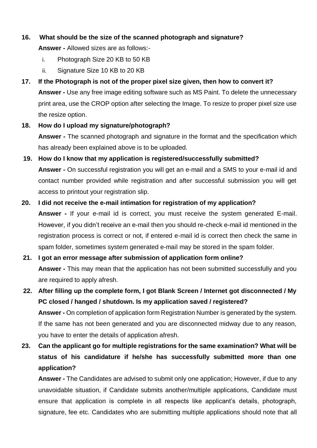#### **16. What should be the size of the scanned photograph and signature?**

**Answer -** Allowed sizes are as follows:-

- i. Photograph Size 20 KB to 50 KB
- ii. Signature Size 10 KB to 20 KB
- **17. If the Photograph is not of the proper pixel size given, then how to convert it? Answer -** Use any free image editing software such as MS Paint. To delete the unnecessary print area, use the CROP option after selecting the Image. To resize to proper pixel size use the resize option.
- **18. How do I upload my signature/photograph?**

**Answer -** The scanned photograph and signature in the format and the specification which has already been explained above is to be uploaded.

# **19. How do I know that my application is registered/successfully submitted? Answer -** On successful registration you will get an e-mail and a SMS to your e-mail id and contact number provided while registration and after successful submission you will get access to printout your registration slip.

#### **20. I did not receive the e-mail intimation for registration of my application?**

**Answer -** If your e-mail id is correct, you must receive the system generated E-mail. However, if you didn't receive an e-mail then you should re-check e-mail id mentioned in the registration process is correct or not, if entered e-mail id is correct then check the same in spam folder, sometimes system generated e-mail may be stored in the spam folder.

#### **21. I got an error message after submission of application form online?**

**Answer -** This may mean that the application has not been submitted successfully and you are required to apply afresh.

# **22. After filling up the complete form, I got Blank Screen / Internet got disconnected / My PC closed / hanged / shutdown. Is my application saved / registered?**

**Answer -** On completion of application form Registration Number is generated by the system. If the same has not been generated and you are disconnected midway due to any reason, you have to enter the details of application afresh.

# **23. Can the applicant go for multiple registrations for the same examination? What will be status of his candidature if he/she has successfully submitted more than one application?**

**Answer -** The Candidates are advised to submit only one application; However, if due to any unavoidable situation, if Candidate submits another/multiple applications, Candidate must ensure that application is complete in all respects like applicant's details, photograph, signature, fee etc. Candidates who are submitting multiple applications should note that all